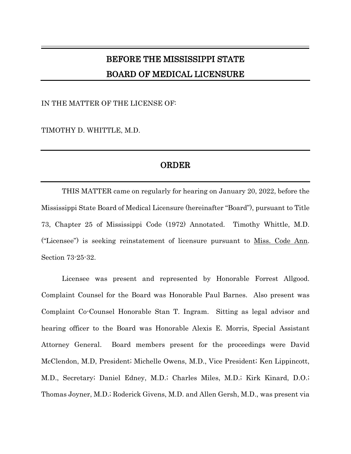## BEFORE THE MISSISSIPPI STATE BOARD OF MEDICAL LICENSURE

 $\mathcal{L}_\mathcal{L} = \mathcal{L}_\mathcal{L} = \mathcal{L}_\mathcal{L} = \mathcal{L}_\mathcal{L} = \mathcal{L}_\mathcal{L} = \mathcal{L}_\mathcal{L} = \mathcal{L}_\mathcal{L} = \mathcal{L}_\mathcal{L} = \mathcal{L}_\mathcal{L} = \mathcal{L}_\mathcal{L} = \mathcal{L}_\mathcal{L} = \mathcal{L}_\mathcal{L} = \mathcal{L}_\mathcal{L} = \mathcal{L}_\mathcal{L} = \mathcal{L}_\mathcal{L} = \mathcal{L}_\mathcal{L} = \mathcal{L}_\mathcal{L}$ 

IN THE MATTER OF THE LICENSE OF:

TIMOTHY D. WHITTLE, M.D.

## ORDER

THIS MATTER came on regularly for hearing on January 20, 2022, before the Mississippi State Board of Medical Licensure (hereinafter "Board"), pursuant to Title 73, Chapter 25 of Mississippi Code (1972) Annotated. Timothy Whittle, M.D. ("Licensee") is seeking reinstatement of licensure pursuant to Miss. Code Ann. Section 73-25-32.

Licensee was present and represented by Honorable Forrest Allgood. Complaint Counsel for the Board was Honorable Paul Barnes. Also present was Complaint Co-Counsel Honorable Stan T. Ingram. Sitting as legal advisor and hearing officer to the Board was Honorable Alexis E. Morris, Special Assistant Attorney General. Board members present for the proceedings were David McClendon, M.D, President; Michelle Owens, M.D., Vice President; Ken Lippincott, M.D., Secretary; Daniel Edney, M.D.; Charles Miles, M.D.; Kirk Kinard, D.O.; Thomas Joyner, M.D.; Roderick Givens, M.D. and Allen Gersh, M.D., was present via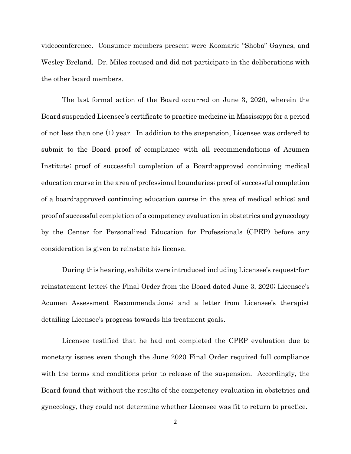videoconference. Consumer members present were Koomarie "Shoba" Gaynes, and Wesley Breland. Dr. Miles recused and did not participate in the deliberations with the other board members.

The last formal action of the Board occurred on June 3, 2020, wherein the Board suspended Licensee's certificate to practice medicine in Mississippi for a period of not less than one (1) year. In addition to the suspension, Licensee was ordered to submit to the Board proof of compliance with all recommendations of Acumen Institute; proof of successful completion of a Board-approved continuing medical education course in the area of professional boundaries; proof of successful completion of a board-approved continuing education course in the area of medical ethics; and proof of successful completion of a competency evaluation in obstetrics and gynecology by the Center for Personalized Education for Professionals (CPEP) before any consideration is given to reinstate his license.

During this hearing, exhibits were introduced including Licensee's request-forreinstatement letter; the Final Order from the Board dated June 3, 2020; Licensee's Acumen Assessment Recommendations; and a letter from Licensee's therapist detailing Licensee's progress towards his treatment goals.

Licensee testified that he had not completed the CPEP evaluation due to monetary issues even though the June 2020 Final Order required full compliance with the terms and conditions prior to release of the suspension. Accordingly, the Board found that without the results of the competency evaluation in obstetrics and gynecology, they could not determine whether Licensee was fit to return to practice.